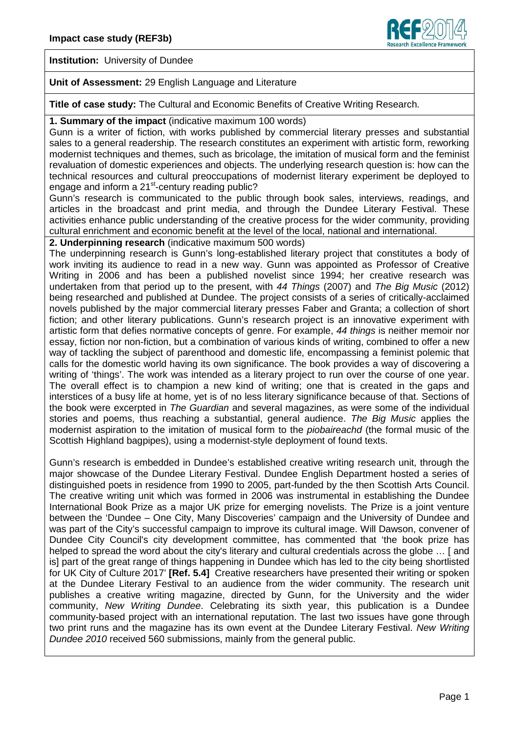

**Institution:** University of Dundee

#### **Unit of Assessment:** 29 English Language and Literature

**Title of case study:** The Cultural and Economic Benefits of Creative Writing Research.

#### **1. Summary of the impact** (indicative maximum 100 words)

Gunn is a writer of fiction, with works published by commercial literary presses and substantial sales to a general readership. The research constitutes an experiment with artistic form, reworking modernist techniques and themes, such as bricolage, the imitation of musical form and the feminist revaluation of domestic experiences and objects. The underlying research question is: how can the technical resources and cultural preoccupations of modernist literary experiment be deployed to engage and inform a 21<sup>st</sup>-century reading public?

Gunn's research is communicated to the public through book sales, interviews, readings, and articles in the broadcast and print media, and through the Dundee Literary Festival. These activities enhance public understanding of the creative process for the wider community, providing cultural enrichment and economic benefit at the level of the local, national and international.

# **2. Underpinning research** (indicative maximum 500 words)

The underpinning research is Gunn's long-established literary project that constitutes a body of work inviting its audience to read in a new way. Gunn was appointed as Professor of Creative Writing in 2006 and has been a published novelist since 1994; her creative research was undertaken from that period up to the present, with *44 Things* (2007) and *The Big Music* (2012) being researched and published at Dundee. The project consists of a series of critically-acclaimed novels published by the major commercial literary presses Faber and Granta; a collection of short fiction; and other literary publications. Gunn's research project is an innovative experiment with artistic form that defies normative concepts of genre. For example, *44 things* is neither memoir nor essay, fiction nor non-fiction, but a combination of various kinds of writing, combined to offer a new way of tackling the subject of parenthood and domestic life, encompassing a feminist polemic that calls for the domestic world having its own significance. The book provides a way of discovering a writing of 'things'. The work was intended as a literary project to run over the course of one year. The overall effect is to champion a new kind of writing; one that is created in the gaps and interstices of a busy life at home, yet is of no less literary significance because of that. Sections of the book were excerpted in *The Guardian* and several magazines, as were some of the individual stories and poems, thus reaching a substantial, general audience. *The Big Music* applies the modernist aspiration to the imitation of musical form to the *piobaireachd* (the formal music of the Scottish Highland bagpipes), using a modernist-style deployment of found texts.

Gunn's research is embedded in Dundee's established creative writing research unit, through the major showcase of the Dundee Literary Festival. Dundee English Department hosted a series of distinguished poets in residence from 1990 to 2005, part-funded by the then Scottish Arts Council. The creative writing unit which was formed in 2006 was instrumental in establishing the Dundee International Book Prize as a major UK prize for emerging novelists. The Prize is a joint venture between the 'Dundee – One City, Many Discoveries' campaign and the University of Dundee and was part of the City's successful campaign to improve its cultural image. Will Dawson, convener of Dundee City Council's city development committee, has commented that 'the book prize has helped to spread the word about the city's literary and cultural credentials across the globe ... [and is] part of the great range of things happening in Dundee which has led to the city being shortlisted for UK City of Culture 2017' **[Ref. 5.4]** Creative researchers have presented their writing or spoken at the Dundee Literary Festival to an audience from the wider community. The research unit publishes a creative writing magazine, directed by Gunn, for the University and the wider community, *New Writing Dundee*. Celebrating its sixth year, this publication is a Dundee community-based project with an international reputation. The last two issues have gone through two print runs and the magazine has its own event at the Dundee Literary Festival. *New Writing Dundee 2010* received 560 submissions, mainly from the general public.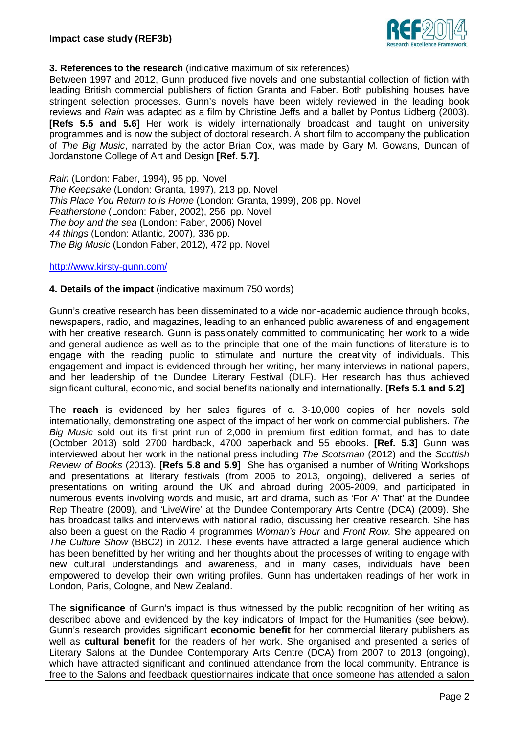

### **3. References to the research** (indicative maximum of six references)

Between 1997 and 2012, Gunn produced five novels and one substantial collection of fiction with leading British commercial publishers of fiction Granta and Faber. Both publishing houses have stringent selection processes. Gunn's novels have been widely reviewed in the leading book reviews and *Rain* was adapted as a film by Christine Jeffs and a ballet by Pontus Lidberg (2003). **[Refs 5.5 and 5.6]** Her work is widely internationally broadcast and taught on university programmes and is now the subject of doctoral research. A short film to accompany the publication of *The Big Music*, narrated by the actor Brian Cox, was made by Gary M. Gowans, Duncan of Jordanstone College of Art and Design **[Ref. 5.7].**

*Rain* (London: Faber, 1994), 95 pp. Novel *The Keepsake* (London: Granta, 1997), 213 pp. Novel *This Place You Return to is Home* (London: Granta, 1999), 208 pp. Novel *Featherstone* (London: Faber, 2002), 256 pp. Novel *The boy and the sea* (London: Faber, 2006) Novel *44 things* (London: Atlantic, 2007), 336 pp. *The Big Music* (London Faber, 2012), 472 pp. Novel

#### <http://www.kirsty-gunn.com/>

### **4. Details of the impact** (indicative maximum 750 words)

Gunn's creative research has been disseminated to a wide non-academic audience through books, newspapers, radio, and magazines, leading to an enhanced public awareness of and engagement with her creative research. Gunn is passionately committed to communicating her work to a wide and general audience as well as to the principle that one of the main functions of literature is to engage with the reading public to stimulate and nurture the creativity of individuals. This engagement and impact is evidenced through her writing, her many interviews in national papers, and her leadership of the Dundee Literary Festival (DLF). Her research has thus achieved significant cultural, economic, and social benefits nationally and internationally. **[Refs 5.1 and 5.2]**

The **reach** is evidenced by her sales figures of c. 3-10,000 copies of her novels sold internationally, demonstrating one aspect of the impact of her work on commercial publishers. *The Big Music* sold out its first print run of 2,000 in premium first edition format, and has to date (October 2013) sold 2700 hardback, 4700 paperback and 55 ebooks. **[Ref. 5.3]** Gunn was interviewed about her work in the national press including *The Scotsman* (2012) and the *Scottish Review of Books* (2013). **[Refs 5.8 and 5.9]** She has organised a number of Writing Workshops and presentations at literary festivals (from 2006 to 2013, ongoing), delivered a series of presentations on writing around the UK and abroad during 2005-2009, and participated in numerous events involving words and music, art and drama, such as 'For A' That' at the Dundee Rep Theatre (2009), and 'LiveWire' at the Dundee Contemporary Arts Centre (DCA) (2009). She has broadcast talks and interviews with national radio, discussing her creative research. She has also been a guest on the Radio 4 programmes *Woman's Hour* and *Front Row.* She appeared on *The Culture Show* (BBC2) in 2012. These events have attracted a large general audience which has been benefitted by her writing and her thoughts about the processes of writing to engage with new cultural understandings and awareness, and in many cases, individuals have been empowered to develop their own writing profiles. Gunn has undertaken readings of her work in London, Paris, Cologne, and New Zealand.

The **significance** of Gunn's impact is thus witnessed by the public recognition of her writing as described above and evidenced by the key indicators of Impact for the Humanities (see below). Gunn's research provides significant **economic benefit** for her commercial literary publishers as well as **cultural benefit** for the readers of her work. She organised and presented a series of Literary Salons at the Dundee Contemporary Arts Centre (DCA) from 2007 to 2013 (ongoing), which have attracted significant and continued attendance from the local community. Entrance is free to the Salons and feedback questionnaires indicate that once someone has attended a salon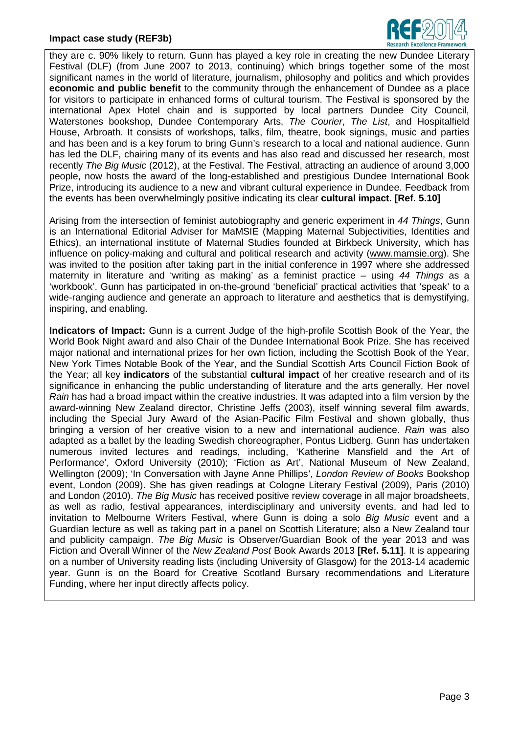

they are c. 90% likely to return. Gunn has played a key role in creating the new Dundee Literary Festival (DLF) (from June 2007 to 2013, continuing) which brings together some of the most significant names in the world of literature, journalism, philosophy and politics and which provides **economic and public benefit** to the community through the enhancement of Dundee as a place for visitors to participate in enhanced forms of cultural tourism. The Festival is sponsored by the international Apex Hotel chain and is supported by local partners Dundee City Council, Waterstones bookshop, Dundee Contemporary Arts, *The Courier*, *The List*, and Hospitalfield House, Arbroath. It consists of workshops, talks, film, theatre, book signings, music and parties and has been and is a key forum to bring Gunn's research to a local and national audience. Gunn has led the DLF, chairing many of its events and has also read and discussed her research, most recently *The Big Music* (2012), at the Festival. The Festival, attracting an audience of around 3,000 people, now hosts the award of the long-established and prestigious Dundee International Book Prize, introducing its audience to a new and vibrant cultural experience in Dundee. Feedback from the events has been overwhelmingly positive indicating its clear **cultural impact. [Ref. 5.10]**

Arising from the intersection of feminist autobiography and generic experiment in *44 Things*, Gunn is an International Editorial Adviser for MaMSIE (Mapping Maternal Subjectivities, Identities and Ethics), an international institute of Maternal Studies founded at Birkbeck University, which has influence on policy-making and cultural and political research and activity (www.mamsie.org). She was invited to the position after taking part in the initial conference in 1997 where she addressed maternity in literature and 'writing as making' as a feminist practice – using *44 Things* as a 'workbook'. Gunn has participated in on-the-ground 'beneficial' practical activities that 'speak' to a wide-ranging audience and generate an approach to literature and aesthetics that is demystifying, inspiring, and enabling.

**Indicators of Impact:** Gunn is a current Judge of the high-profile Scottish Book of the Year, the World Book Night award and also Chair of the Dundee International Book Prize. She has received major national and international prizes for her own fiction, including the Scottish Book of the Year, New York Times Notable Book of the Year, and the Sundial Scottish Arts Council Fiction Book of the Year; all key **indicators** of the substantial **cultural impact** of her creative research and of its significance in enhancing the public understanding of literature and the arts generally. Her novel *Rain* has had a broad impact within the creative industries. It was adapted into a film version by the award-winning New Zealand director, Christine Jeffs (2003), itself winning several film awards, including the Special Jury Award of the Asian-Pacific Film Festival and shown globally, thus bringing a version of her creative vision to a new and international audience. *Rain* was also adapted as a ballet by the leading Swedish choreographer, Pontus Lidberg. Gunn has undertaken numerous invited lectures and readings, including, 'Katherine Mansfield and the Art of Performance', Oxford University (2010); 'Fiction as Art', National Museum of New Zealand, Wellington (2009); 'In Conversation with Jayne Anne Phillips', *London Review of Books* Bookshop event, London (2009). She has given readings at Cologne Literary Festival (2009), Paris (2010) and London (2010). *The Big Music* has received positive review coverage in all major broadsheets, as well as radio, festival appearances, interdisciplinary and university events, and had led to invitation to Melbourne Writers Festival, where Gunn is doing a solo *Big Music* event and a Guardian lecture as well as taking part in a panel on Scottish Literature; also a New Zealand tour and publicity campaign. *The Big Music* is Observer/Guardian Book of the year 2013 and was Fiction and Overall Winner of the *New Zealand Post* Book Awards 2013 **[Ref. 5.11]**. It is appearing on a number of University reading lists (including University of Glasgow) for the 2013-14 academic year. Gunn is on the Board for Creative Scotland Bursary recommendations and Literature Funding, where her input directly affects policy.